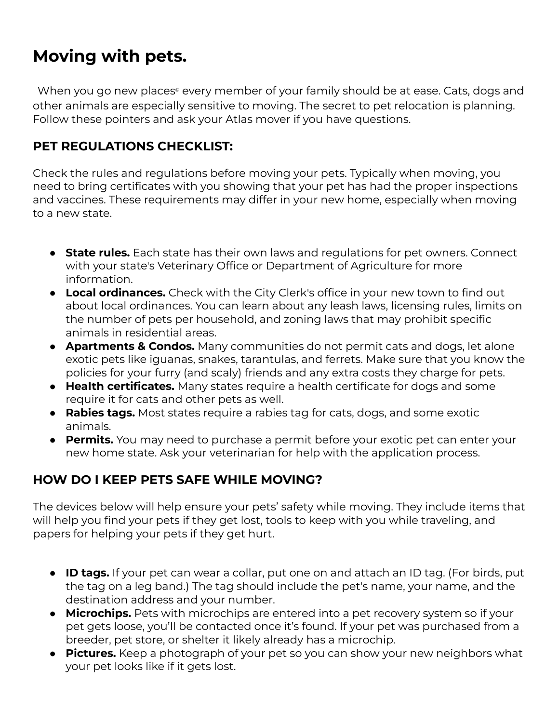## **Moving with pets.**

When you go new places ® every member of your family should be at ease. Cats, dogs and other animals are especially sensitive to moving. The secret to pet relocation is planning. Follow these pointers and ask your Atlas mover if you have questions.

## **PET REGULATIONS CHECKLIST:**

Check the rules and regulations before moving your pets. Typically when moving, you need to bring certificates with you showing that your pet has had the proper inspections and vaccines. These requirements may differ in your new home, especially when moving to a new state.

- **State rules.** Each state has their own laws and regulations for pet owners. Connect with your state's Veterinary Office or Department of Agriculture for more information.
- **Local ordinances.** Check with the City Clerk's office in your new town to find out about local ordinances. You can learn about any leash laws, licensing rules, limits on the number of pets per household, and zoning laws that may prohibit specific animals in residential areas.
- **Apartments & Condos.** Many communities do not permit cats and dogs, let alone exotic pets like iguanas, snakes, tarantulas, and ferrets. Make sure that you know the policies for your furry (and scaly) friends and any extra costs they charge for pets.
- **Health certificates.** Many states require a health certificate for dogs and some require it for cats and other pets as well.
- **Rabies tags.** Most states require a rabies tag for cats, dogs, and some exotic animals.
- **Permits.** You may need to purchase a permit before your exotic pet can enter your new home state. Ask your veterinarian for help with the application process.

## **HOW DO I KEEP PETS SAFE WHILE MOVING?**

The devices below will help ensure your pets' safety while moving. They include items that will help you find your pets if they get lost, tools to keep with you while traveling, and papers for helping your pets if they get hurt.

- **ID tags.** If your pet can wear a collar, put one on and attach an ID tag. (For birds, put the tag on a leg band.) The tag should include the pet's name, your name, and the destination address and your number.
- **Microchips.** Pets with microchips are entered into a pet recovery system so if your pet gets loose, you'll be contacted once it's found. If your pet was purchased from a breeder, pet store, or shelter it likely already has a microchip.
- **Pictures.** Keep a photograph of your pet so you can show your new neighbors what your pet looks like if it gets lost.